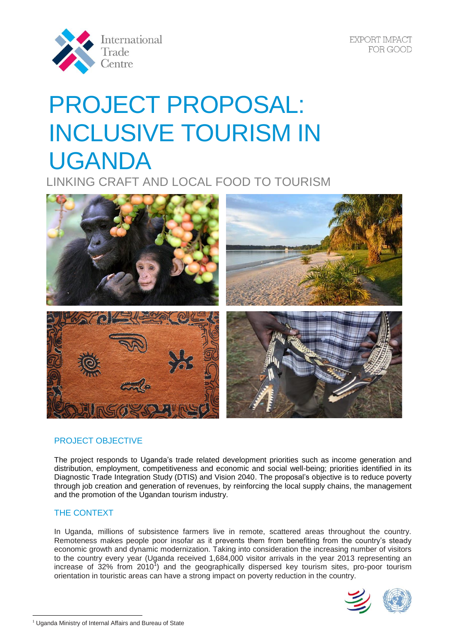

EXPORT IMPACT FOR GOOD

# PROJECT PROPOSAL: INCLUSIVE TOURISM IN UGANDA

LINKING CRAFT AND LOCAL FOOD TO TOURISM



# PROJECT OBJECTIVE

The project responds to Uganda's trade related development priorities such as income generation and distribution, employment, competitiveness and economic and social well-being; priorities identified in its Diagnostic Trade Integration Study (DTIS) and Vision 2040. The proposal's objective is to reduce poverty through job creation and generation of revenues, by reinforcing the local supply chains, the management and the promotion of the Ugandan tourism industry.

## THE CONTEXT

 $\overline{a}$ 

In Uganda, millions of subsistence farmers live in remote, scattered areas throughout the country. Remoteness makes people poor insofar as it prevents them from benefiting from the country's steady economic growth and dynamic modernization. Taking into consideration the increasing number of visitors to the country every year (Uganda received 1,684,000 visitor arrivals in the year 2013 representing an increase of 32% from 2010<sup>1</sup>) and the geographically dispersed key tourism sites, pro-poor tourism orientation in touristic areas can have a strong impact on poverty reduction in the country.



<sup>&</sup>lt;sup>1</sup> Uganda Ministry of Internal Affairs and Bureau of State